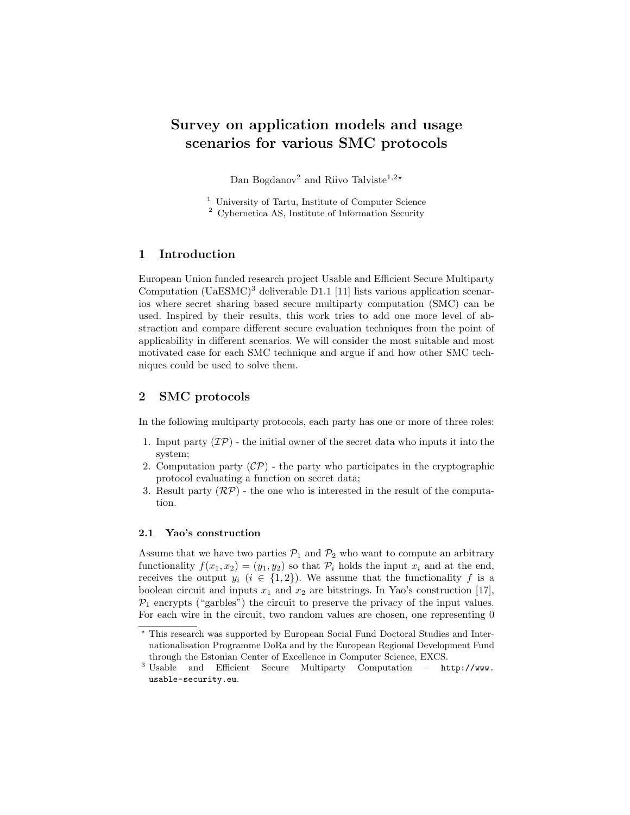# Survey on application models and usage scenarios for various SMC protocols

Dan Bogdanov<sup>2</sup> and Riivo Talviste<sup>1,2\*</sup>

<sup>1</sup> University of Tartu, Institute of Computer Science

<sup>2</sup> Cybernetica AS, Institute of Information Security

## 1 Introduction

European Union funded research project Usable and Efficient Secure Multiparty Computation  $(UaESMC)^3$  $(UaESMC)^3$  deliverable D1.1 [\[11\]](#page-8-0) lists various application scenarios where secret sharing based secure multiparty computation (SMC) can be used. Inspired by their results, this work tries to add one more level of abstraction and compare different secure evaluation techniques from the point of applicability in different scenarios. We will consider the most suitable and most motivated case for each SMC technique and argue if and how other SMC techniques could be used to solve them.

## 2 SMC protocols

In the following multiparty protocols, each party has one or more of three roles:

- 1. Input party  $(\mathcal{IP})$  the initial owner of the secret data who inputs it into the system;
- 2. Computation party  $(\mathcal{CP})$  the party who participates in the cryptographic protocol evaluating a function on secret data;
- 3. Result party  $(\mathcal{RP})$  the one who is interested in the result of the computation.

#### 2.1 Yao's construction

Assume that we have two parties  $P_1$  and  $P_2$  who want to compute an arbitrary functionality  $f(x_1, x_2) = (y_1, y_2)$  so that  $\mathcal{P}_i$  holds the input  $x_i$  and at the end, receives the output  $y_i$   $(i \in \{1,2\})$ . We assume that the functionality f is a boolean circuit and inputs  $x_1$  and  $x_2$  are bitstrings. In Yao's construction [\[17\]](#page-8-1),  $P_1$  encrypts ("garbles") the circuit to preserve the privacy of the input values. For each wire in the circuit, two random values are chosen, one representing 0

<sup>?</sup> This research was supported by European Social Fund Doctoral Studies and Internationalisation Programme DoRa and by the European Regional Development Fund through the Estonian Center of Excellence in Computer Science, EXCS.

<span id="page-0-0"></span><sup>3</sup> Usable and Efficient Secure Multiparty Computation – [http://www.](http://www.usable-security.eu) [usable-security.eu](http://www.usable-security.eu).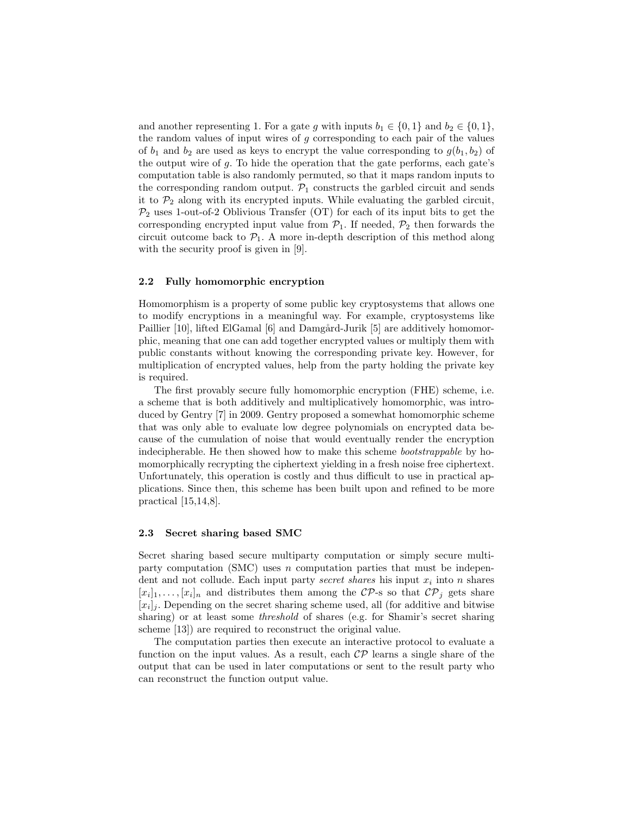and another representing 1. For a gate g with inputs  $b_1 \in \{0,1\}$  and  $b_2 \in \{0,1\}$ , the random values of input wires of  $g$  corresponding to each pair of the values of  $b_1$  and  $b_2$  are used as keys to encrypt the value corresponding to  $g(b_1, b_2)$  of the output wire of g. To hide the operation that the gate performs, each gate's computation table is also randomly permuted, so that it maps random inputs to the corresponding random output.  $\mathcal{P}_1$  constructs the garbled circuit and sends it to  $\mathcal{P}_2$  along with its encrypted inputs. While evaluating the garbled circuit,  $\mathcal{P}_2$  uses 1-out-of-2 Oblivious Transfer (OT) for each of its input bits to get the corresponding encrypted input value from  $\mathcal{P}_1$ . If needed,  $\mathcal{P}_2$  then forwards the circuit outcome back to  $\mathcal{P}_1$ . A more in-depth description of this method along with the security proof is given in [\[9\]](#page-8-2).

#### 2.2 Fully homomorphic encryption

Homomorphism is a property of some public key cryptosystems that allows one to modify encryptions in a meaningful way. For example, cryptosystems like Paillier [\[10\]](#page-8-3), lifted ElGamal [\[6\]](#page-8-4) and Damgård-Jurik [\[5\]](#page-8-5) are additively homomorphic, meaning that one can add together encrypted values or multiply them with public constants without knowing the corresponding private key. However, for multiplication of encrypted values, help from the party holding the private key is required.

The first provably secure fully homomorphic encryption (FHE) scheme, i.e. a scheme that is both additively and multiplicatively homomorphic, was introduced by Gentry [\[7\]](#page-8-6) in 2009. Gentry proposed a somewhat homomorphic scheme that was only able to evaluate low degree polynomials on encrypted data because of the cumulation of noise that would eventually render the encryption indecipherable. He then showed how to make this scheme bootstrappable by homomorphically recrypting the ciphertext yielding in a fresh noise free ciphertext. Unfortunately, this operation is costly and thus difficult to use in practical applications. Since then, this scheme has been built upon and refined to be more practical [\[15](#page-8-7)[,14](#page-8-8)[,8\]](#page-8-9).

#### 2.3 Secret sharing based SMC

Secret sharing based secure multiparty computation or simply secure multiparty computation (SMC) uses n computation parties that must be independent and not collude. Each input party *secret shares* his input  $x_i$  into n shares  $[x_i]_1, \ldots, [x_i]_n$  and distributes them among the CP-s so that  $\mathcal{CP}_j$  gets share  $[x_i]_j$ . Depending on the secret sharing scheme used, all (for additive and bitwise sharing) or at least some threshold of shares (e.g. for Shamir's secret sharing scheme [\[13\]](#page-8-10)) are required to reconstruct the original value.

The computation parties then execute an interactive protocol to evaluate a function on the input values. As a result, each  $\mathcal{CP}$  learns a single share of the output that can be used in later computations or sent to the result party who can reconstruct the function output value.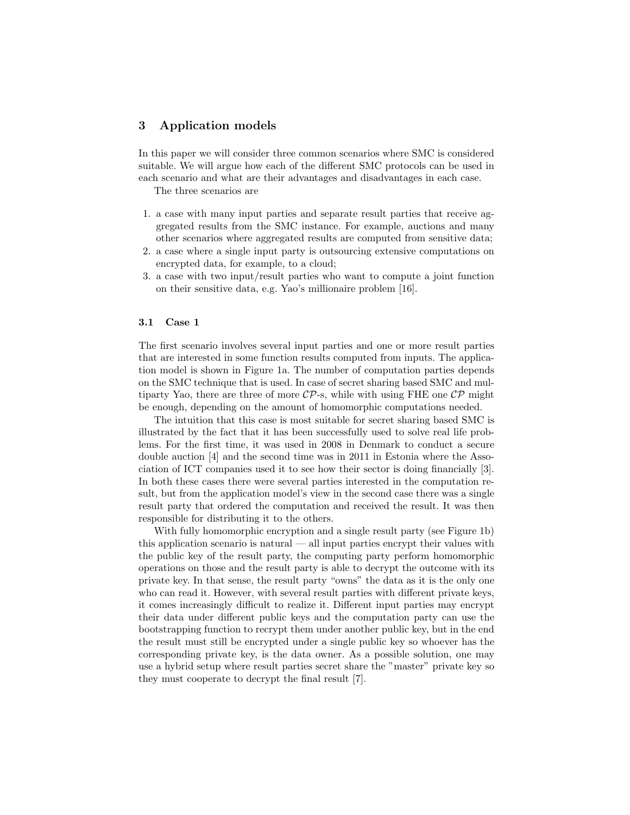## 3 Application models

In this paper we will consider three common scenarios where SMC is considered suitable. We will argue how each of the different SMC protocols can be used in each scenario and what are their advantages and disadvantages in each case.

The three scenarios are

- 1. a case with many input parties and separate result parties that receive aggregated results from the SMC instance. For example, auctions and many other scenarios where aggregated results are computed from sensitive data;
- 2. a case where a single input party is outsourcing extensive computations on encrypted data, for example, to a cloud;
- 3. a case with two input/result parties who want to compute a joint function on their sensitive data, e.g. Yao's millionaire problem [\[16\]](#page-8-11).

#### 3.1 Case 1

The first scenario involves several input parties and one or more result parties that are interested in some function results computed from inputs. The application model is shown in Figure [1a.](#page-4-0) The number of computation parties depends on the SMC technique that is used. In case of secret sharing based SMC and multiparty Yao, there are three of more  $\mathcal{CP}\text{-s}$ , while with using FHE one  $\mathcal{CP}$  might be enough, depending on the amount of homomorphic computations needed.

The intuition that this case is most suitable for secret sharing based SMC is illustrated by the fact that it has been successfully used to solve real life problems. For the first time, it was used in 2008 in Denmark to conduct a secure double auction [\[4\]](#page-7-0) and the second time was in 2011 in Estonia where the Association of ICT companies used it to see how their sector is doing financially [\[3\]](#page-7-1). In both these cases there were several parties interested in the computation result, but from the application model's view in the second case there was a single result party that ordered the computation and received the result. It was then responsible for distributing it to the others.

With fully homomorphic encryption and a single result party (see Figure [1b\)](#page-4-0) this application scenario is natural — all input parties encrypt their values with the public key of the result party, the computing party perform homomorphic operations on those and the result party is able to decrypt the outcome with its private key. In that sense, the result party "owns" the data as it is the only one who can read it. However, with several result parties with different private keys, it comes increasingly difficult to realize it. Different input parties may encrypt their data under different public keys and the computation party can use the bootstrapping function to recrypt them under another public key, but in the end the result must still be encrypted under a single public key so whoever has the corresponding private key, is the data owner. As a possible solution, one may use a hybrid setup where result parties secret share the "master" private key so they must cooperate to decrypt the final result [\[7\]](#page-8-6).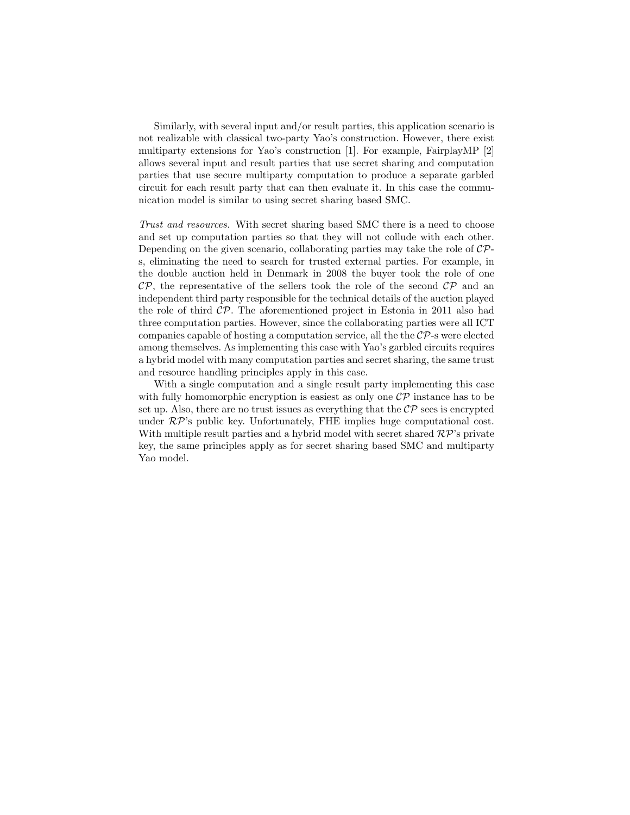Similarly, with several input and/or result parties, this application scenario is not realizable with classical two-party Yao's construction. However, there exist multiparty extensions for Yao's construction [\[1\]](#page-7-2). For example, FairplayMP [\[2\]](#page-7-3) allows several input and result parties that use secret sharing and computation parties that use secure multiparty computation to produce a separate garbled circuit for each result party that can then evaluate it. In this case the communication model is similar to using secret sharing based SMC.

Trust and resources. With secret sharing based SMC there is a need to choose and set up computation parties so that they will not collude with each other. Depending on the given scenario, collaborating parties may take the role of  $\mathcal{CP}$ s, eliminating the need to search for trusted external parties. For example, in the double auction held in Denmark in 2008 the buyer took the role of one  $\mathcal{CP}$ , the representative of the sellers took the role of the second  $\mathcal{CP}$  and an independent third party responsible for the technical details of the auction played the role of third  $\mathcal{CP}$ . The aforementioned project in Estonia in 2011 also had three computation parties. However, since the collaborating parties were all ICT companies capable of hosting a computation service, all the the  $\mathcal{CP}$ -s were elected among themselves. As implementing this case with Yao's garbled circuits requires a hybrid model with many computation parties and secret sharing, the same trust and resource handling principles apply in this case.

With a single computation and a single result party implementing this case with fully homomorphic encryption is easiest as only one  $\mathcal{CP}$  instance has to be set up. Also, there are no trust issues as everything that the  $\mathcal{CP}$  sees is encrypted under  $\mathcal{RP}$ 's public key. Unfortunately, FHE implies huge computational cost. With multiple result parties and a hybrid model with secret shared  $\mathcal{RP}$ 's private key, the same principles apply as for secret sharing based SMC and multiparty Yao model.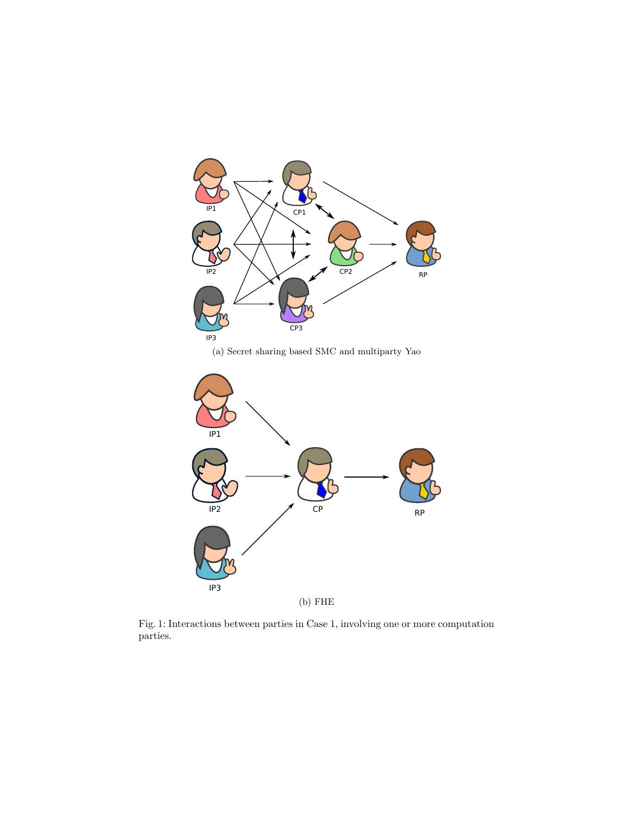<span id="page-4-0"></span>

(a) Secret sharing based SMC and multiparty Yao



Fig. 1: Interactions between parties in Case 1, involving one or more computation parties.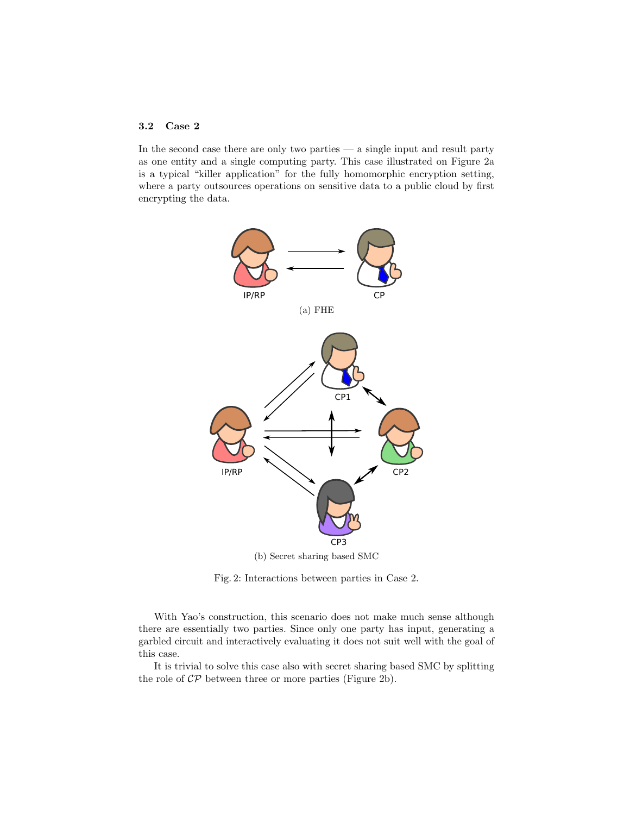### 3.2 Case 2

In the second case there are only two parties  $-$  a single input and result party as one entity and a single computing party. This case illustrated on Figure [2a](#page-5-0) is a typical "killer application" for the fully homomorphic encryption setting, where a party outsources operations on sensitive data to a public cloud by first encrypting the data.

<span id="page-5-0"></span>

Fig. 2: Interactions between parties in Case 2.

With Yao's construction, this scenario does not make much sense although there are essentially two parties. Since only one party has input, generating a garbled circuit and interactively evaluating it does not suit well with the goal of this case.

It is trivial to solve this case also with secret sharing based SMC by splitting the role of  $\mathcal{CP}$  between three or more parties (Figure [2b\)](#page-5-0).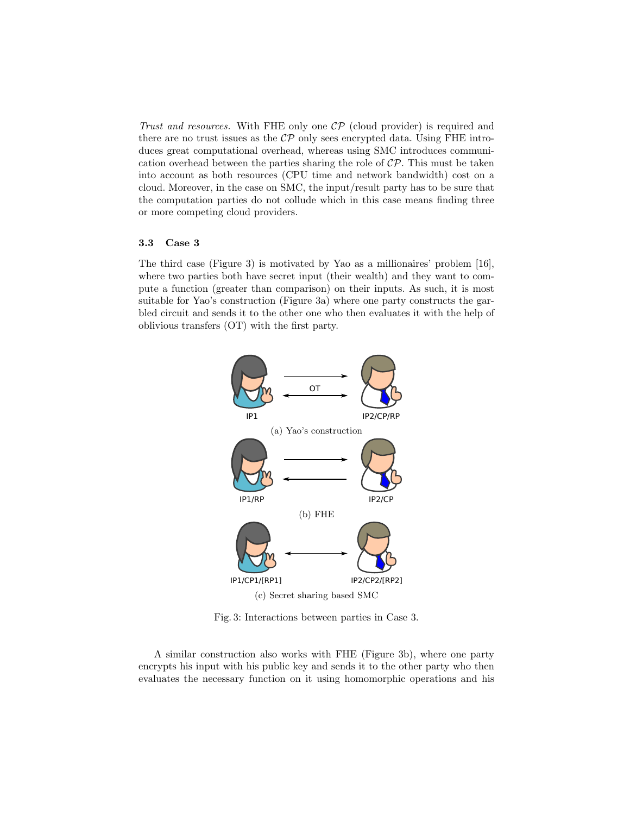Trust and resources. With FHE only one  $\mathcal{CP}$  (cloud provider) is required and there are no trust issues as the  $\mathcal{CP}$  only sees encrypted data. Using FHE introduces great computational overhead, whereas using SMC introduces communication overhead between the parties sharing the role of  $\mathcal{CP}$ . This must be taken into account as both resources (CPU time and network bandwidth) cost on a cloud. Moreover, in the case on SMC, the input/result party has to be sure that the computation parties do not collude which in this case means finding three or more competing cloud providers.

### 3.3 Case 3

The third case (Figure [3\)](#page-6-0) is motivated by Yao as a millionaires' problem [\[16\]](#page-8-11), where two parties both have secret input (their wealth) and they want to compute a function (greater than comparison) on their inputs. As such, it is most suitable for Yao's construction (Figure [3a\)](#page-6-0) where one party constructs the garbled circuit and sends it to the other one who then evaluates it with the help of oblivious transfers (OT) with the first party.

<span id="page-6-0"></span>

Fig. 3: Interactions between parties in Case 3.

A similar construction also works with FHE (Figure [3b\)](#page-6-0), where one party encrypts his input with his public key and sends it to the other party who then evaluates the necessary function on it using homomorphic operations and his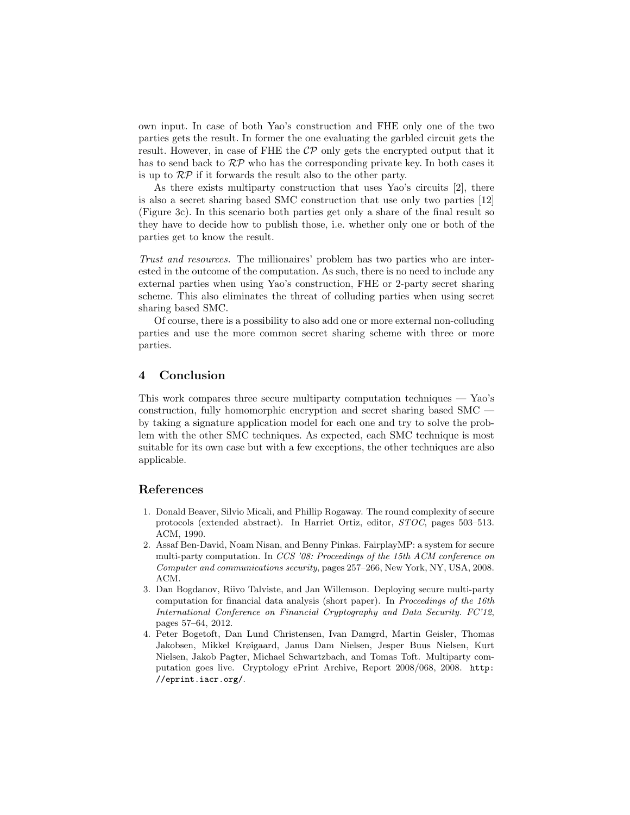own input. In case of both Yao's construction and FHE only one of the two parties gets the result. In former the one evaluating the garbled circuit gets the result. However, in case of FHE the  $\mathcal{CP}$  only gets the encrypted output that it has to send back to  $\mathcal{RP}$  who has the corresponding private key. In both cases it is up to  $\mathcal{RP}$  if it forwards the result also to the other party.

As there exists multiparty construction that uses Yao's circuits [\[2\]](#page-7-3), there is also a secret sharing based SMC construction that use only two parties [\[12\]](#page-8-12) (Figure [3c\)](#page-6-0). In this scenario both parties get only a share of the final result so they have to decide how to publish those, i.e. whether only one or both of the parties get to know the result.

Trust and resources. The millionaires' problem has two parties who are interested in the outcome of the computation. As such, there is no need to include any external parties when using Yao's construction, FHE or 2-party secret sharing scheme. This also eliminates the threat of colluding parties when using secret sharing based SMC.

Of course, there is a possibility to also add one or more external non-colluding parties and use the more common secret sharing scheme with three or more parties.

#### 4 Conclusion

This work compares three secure multiparty computation techniques — Yao's construction, fully homomorphic encryption and secret sharing based SMC by taking a signature application model for each one and try to solve the problem with the other SMC techniques. As expected, each SMC technique is most suitable for its own case but with a few exceptions, the other techniques are also applicable.

## References

- <span id="page-7-2"></span>1. Donald Beaver, Silvio Micali, and Phillip Rogaway. The round complexity of secure protocols (extended abstract). In Harriet Ortiz, editor, STOC, pages 503–513. ACM, 1990.
- <span id="page-7-3"></span>2. Assaf Ben-David, Noam Nisan, and Benny Pinkas. FairplayMP: a system for secure multi-party computation. In CCS '08: Proceedings of the 15th ACM conference on Computer and communications security, pages 257–266, New York, NY, USA, 2008. ACM.
- <span id="page-7-1"></span>3. Dan Bogdanov, Riivo Talviste, and Jan Willemson. Deploying secure multi-party computation for financial data analysis (short paper). In Proceedings of the 16th International Conference on Financial Cryptography and Data Security. FC'12, pages 57–64, 2012.
- <span id="page-7-0"></span>4. Peter Bogetoft, Dan Lund Christensen, Ivan Damgrd, Martin Geisler, Thomas Jakobsen, Mikkel Krøigaard, Janus Dam Nielsen, Jesper Buus Nielsen, Kurt Nielsen, Jakob Pagter, Michael Schwartzbach, and Tomas Toft. Multiparty computation goes live. Cryptology ePrint Archive, Report 2008/068, 2008. [http:](http://eprint.iacr.org/) [//eprint.iacr.org/](http://eprint.iacr.org/).